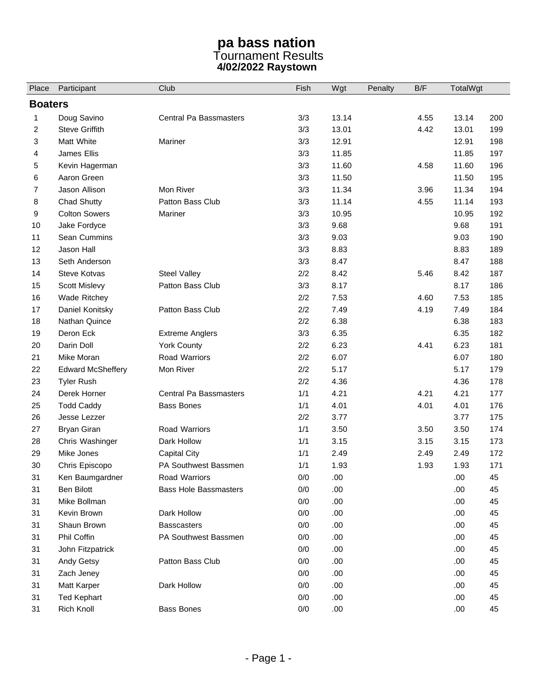## **pa bass nation**  Tournament Results **4/02/2022 Raystown**

| Place          | Participant              | Club                          | Fish  | Wgt   | Penalty | B/F  | TotalWgt |     |  |  |
|----------------|--------------------------|-------------------------------|-------|-------|---------|------|----------|-----|--|--|
| <b>Boaters</b> |                          |                               |       |       |         |      |          |     |  |  |
| 1              | Doug Savino              | <b>Central Pa Bassmasters</b> | 3/3   | 13.14 |         | 4.55 | 13.14    | 200 |  |  |
| 2              | <b>Steve Griffith</b>    |                               | 3/3   | 13.01 |         | 4.42 | 13.01    | 199 |  |  |
| 3              | Matt White               | Mariner                       | 3/3   | 12.91 |         |      | 12.91    | 198 |  |  |
| 4              | James Ellis              |                               | 3/3   | 11.85 |         |      | 11.85    | 197 |  |  |
| 5              | Kevin Hagerman           |                               | 3/3   | 11.60 |         | 4.58 | 11.60    | 196 |  |  |
| 6              | Aaron Green              |                               | 3/3   | 11.50 |         |      | 11.50    | 195 |  |  |
| 7              | Jason Allison            | Mon River                     | 3/3   | 11.34 |         | 3.96 | 11.34    | 194 |  |  |
| 8              | <b>Chad Shutty</b>       | Patton Bass Club              | 3/3   | 11.14 |         | 4.55 | 11.14    | 193 |  |  |
| 9              | <b>Colton Sowers</b>     | Mariner                       | 3/3   | 10.95 |         |      | 10.95    | 192 |  |  |
| 10             | Jake Fordyce             |                               | 3/3   | 9.68  |         |      | 9.68     | 191 |  |  |
| 11             | Sean Cummins             |                               | 3/3   | 9.03  |         |      | 9.03     | 190 |  |  |
| 12             | Jason Hall               |                               | 3/3   | 8.83  |         |      | 8.83     | 189 |  |  |
| 13             | Seth Anderson            |                               | 3/3   | 8.47  |         |      | 8.47     | 188 |  |  |
| 14             | <b>Steve Kotvas</b>      | <b>Steel Valley</b>           | 2/2   | 8.42  |         | 5.46 | 8.42     | 187 |  |  |
| 15             | Scott Mislevy            | Patton Bass Club              | 3/3   | 8.17  |         |      | 8.17     | 186 |  |  |
| 16             | Wade Ritchey             |                               | 2/2   | 7.53  |         | 4.60 | 7.53     | 185 |  |  |
| 17             | Daniel Konitsky          | Patton Bass Club              | 2/2   | 7.49  |         | 4.19 | 7.49     | 184 |  |  |
| 18             | Nathan Quince            |                               | 2/2   | 6.38  |         |      | 6.38     | 183 |  |  |
| 19             | Deron Eck                | <b>Extreme Anglers</b>        | 3/3   | 6.35  |         |      | 6.35     | 182 |  |  |
| 20             | Darin Doll               | <b>York County</b>            | 2/2   | 6.23  |         | 4.41 | 6.23     | 181 |  |  |
| 21             | Mike Moran               | Road Warriors                 | 2/2   | 6.07  |         |      | 6.07     | 180 |  |  |
| 22             | <b>Edward McSheffery</b> | Mon River                     | 2/2   | 5.17  |         |      | 5.17     | 179 |  |  |
| 23             | <b>Tyler Rush</b>        |                               | 2/2   | 4.36  |         |      | 4.36     | 178 |  |  |
| 24             | Derek Horner             | Central Pa Bassmasters        | 1/1   | 4.21  |         | 4.21 | 4.21     | 177 |  |  |
| 25             | <b>Todd Caddy</b>        | <b>Bass Bones</b>             | 1/1   | 4.01  |         | 4.01 | 4.01     | 176 |  |  |
| 26             | Jesse Lezzer             |                               | 2/2   | 3.77  |         |      | 3.77     | 175 |  |  |
| 27             | <b>Bryan Giran</b>       | Road Warriors                 | 1/1   | 3.50  |         | 3.50 | 3.50     | 174 |  |  |
| 28             | Chris Washinger          | Dark Hollow                   | 1/1   | 3.15  |         | 3.15 | 3.15     | 173 |  |  |
| 29             | Mike Jones               | <b>Capital City</b>           | 1/1   | 2.49  |         | 2.49 | 2.49     | 172 |  |  |
| 30             | Chris Episcopo           | PA Southwest Bassmen          | 1/1   | 1.93  |         | 1.93 | 1.93     | 171 |  |  |
| 31             | Ken Baumgardner          | Road Warriors                 | $0/0$ | .00   |         |      | .00.     | 45  |  |  |
| 31             | <b>Ben Bilott</b>        | <b>Bass Hole Bassmasters</b>  | $0/0$ | .00   |         |      | .00      | 45  |  |  |
| 31             | Mike Bollman             |                               | 0/0   | .00.  |         |      | .00.     | 45  |  |  |
| 31             | Kevin Brown              | Dark Hollow                   | 0/0   | .00   |         |      | .00      | 45  |  |  |
| 31             | Shaun Brown              | <b>Basscasters</b>            | 0/0   | .00   |         |      | .00.     | 45  |  |  |
| 31             | Phil Coffin              | PA Southwest Bassmen          | 0/0   | .00   |         |      | .00.     | 45  |  |  |
| 31             | John Fitzpatrick         |                               | 0/0   | .00   |         |      | .00.     | 45  |  |  |
| 31             | Andy Getsy               | Patton Bass Club              | 0/0   | .00   |         |      | .00.     | 45  |  |  |
| 31             | Zach Jeney               |                               | 0/0   | .00   |         |      | .00      | 45  |  |  |
| 31             | Matt Karper              | Dark Hollow                   | 0/0   | .00.  |         |      | .00.     | 45  |  |  |
| 31             | <b>Ted Kephart</b>       |                               | 0/0   | .00   |         |      | .00      | 45  |  |  |
| 31             | Rich Knoll               | <b>Bass Bones</b>             | 0/0   | .00   |         |      | .00.     | 45  |  |  |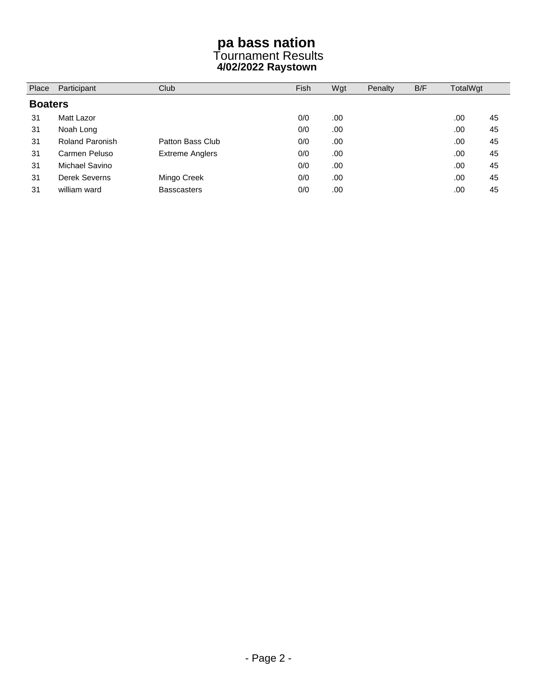## **pa bass nation**  Tournament Results **4/02/2022 Raystown**

| <b>Boaters</b> |                        |                        |     |     |  |      |    |
|----------------|------------------------|------------------------|-----|-----|--|------|----|
|                |                        |                        |     |     |  |      |    |
| 31             | Matt Lazor             |                        | 0/0 | .00 |  | .00. | 45 |
| 31             | Noah Long              |                        | 0/0 | .00 |  | .00. | 45 |
| 31             | <b>Roland Paronish</b> | Patton Bass Club       | 0/0 | .00 |  | .00. | 45 |
| 31             | Carmen Peluso          | <b>Extreme Anglers</b> | 0/0 | .00 |  | .00. | 45 |
| 31             | Michael Savino         |                        | 0/0 | .00 |  | .00. | 45 |
| 31             | Derek Severns          | Mingo Creek            | 0/0 | .00 |  | .00  | 45 |
| 31             | william ward           | <b>Basscasters</b>     | 0/0 | .00 |  | .00  | 45 |